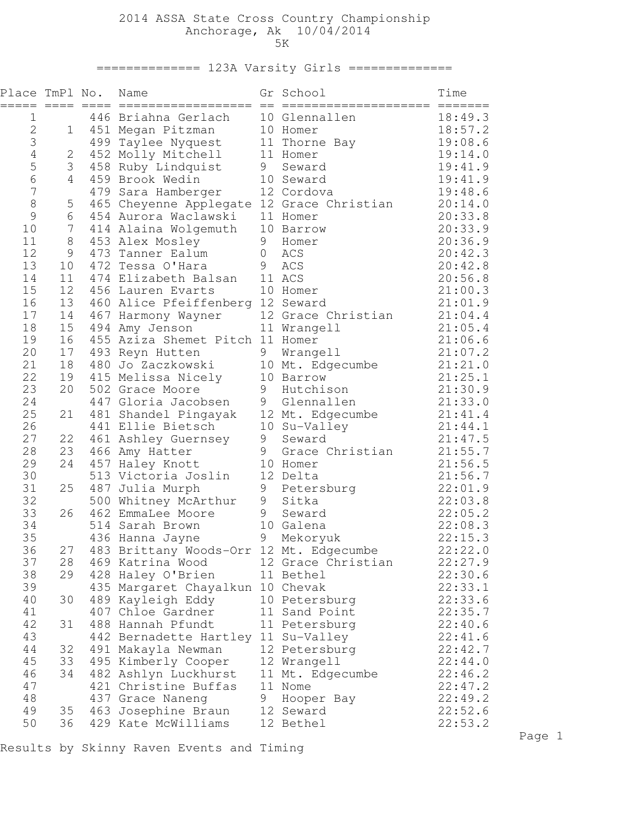## 2014 ASSA State Cross Country Championship Anchorage, Ak 10/04/2014 5K

============== 123A Varsity Girls ==============

| Place TmPl No. |                  | Name<br>==================                                  |                | Gr School          | Time<br>$=$ $=$ $=$ $=$ $=$ $=$ |
|----------------|------------------|-------------------------------------------------------------|----------------|--------------------|---------------------------------|
| 1              |                  | 446 Briahna Gerlach                                         |                | 10 Glennallen      | 18:49.3                         |
| $\sqrt{2}$     | $\mathbf 1$      | 451 Megan Pitzman                                           |                | 10 Homer           | 18:57.2                         |
| 3              |                  | 499 Taylee Nyquest                                          |                | 11 Thorne Bay      | 19:08.6                         |
| $\overline{4}$ | 2                | 452 Molly Mitchell                                          |                | 11 Homer           | 19:14.0                         |
| 5              | 3                | 458 Ruby Lindquist                                          | 9              | Seward             | 19:41.9                         |
| 6              | 4                | 459 Brook Wedin                                             |                | 10 Seward          | 19:41.9                         |
| 7              |                  | 479 Sara Hamberger                                          |                | 12 Cordova         | 19:48.6                         |
| 8              | 5                | 465 Cheyenne Applegate 12 Grace Christian                   |                |                    | 20:14.0                         |
| 9              | 6                | 454 Aurora Waclawski                                        |                | 11 Homer           | 20:33.8                         |
| 10             | $\boldsymbol{7}$ | 414 Alaina Wolgemuth                                        |                | 10 Barrow          | 20:33.9                         |
| 11             | 8                | 453 Alex Mosley                                             | 9              | Homer              | 20:36.9                         |
| 12             | 9                | 473 Tanner Ealum                                            | $\overline{0}$ | ACS                | 20:42.3                         |
| 13             | 10               | 472 Tessa O'Hara                                            | 9              | ACS                | 20:42.8                         |
| 14<br>15       | 11<br>12         | 474 Elizabeth Balsan<br>456 Lauren Evarts                   |                | 11 ACS<br>10 Homer | 20:56.8<br>21:00.3              |
| 16             | 13               | 460 Alice Pfeiffenberg 12 Seward                            |                |                    | 21:01.9                         |
| 17             | 14               | 467 Harmony Wayner                                          |                | 12 Grace Christian | 21:04.4                         |
| 18             | 15               | 494 Amy Jenson                                              |                | 11 Wrangell        | 21:05.4                         |
| 19             | 16               | 455 Aziza Shemet Pitch 11 Homer                             |                |                    | 21:06.6                         |
| 20             | 17               | 493 Reyn Hutten                                             | 9              | Wrangell           | 21:07.2                         |
| 21             | 18               | 480 Jo Zaczkowski                                           |                | 10 Mt. Edgecumbe   | 21:21.0                         |
| 22             | 19               | 415 Melissa Nicely                                          |                | 10 Barrow          | 21:25.1                         |
| 23             | 20               | 502 Grace Moore                                             | 9              | Hutchison          | 21:30.9                         |
| 24             |                  | 447 Gloria Jacobsen                                         |                | 9 Glennallen       | 21:33.0                         |
| 25             | 21               | 481 Shandel Pingayak                                        |                | 12 Mt. Edgecumbe   | 21:41.4                         |
| 26             |                  | 441 Ellie Bietsch                                           |                | 10 Su-Valley       | 21:44.1                         |
| 27             | 22               | 461 Ashley Guernsey                                         | 9              | Seward             | 21:47.5                         |
| 28             | 23               | 466 Amy Hatter                                              | 9              | Grace Christian    | 21:55.7                         |
| 29             | 24               | 457 Haley Knott                                             |                | 10 Homer           | 21:56.5                         |
| 30             |                  | 513 Victoria Joslin                                         |                | 12 Delta           | 21:56.7                         |
| 31             | 25               | 487 Julia Murph                                             | 9              | Petersburg         | 22:01.9                         |
| 32             |                  | 500 Whitney McArthur                                        | 9              | Sitka              | 22:03.8                         |
| 33             | 26               | 462 EmmaLee Moore                                           | 9              | Seward             | 22:05.2                         |
| 34             |                  | 514 Sarah Brown                                             |                | 10 Galena          | 22:08.3                         |
| 35<br>36       |                  | 436 Hanna Jayne                                             | 9              | Mekoryuk           | 22:15.3<br>22:22.0              |
| 37             | 27<br>28         | 483 Brittany Woods-Orr 12 Mt. Edgecumbe<br>469 Katrina Wood |                | 12 Grace Christian | 22:27.9                         |
| 38             | 29               | 428 Haley O'Brien                                           |                | 11 Bethel          | 22:30.6                         |
| 39             |                  | 435 Margaret Chayalkun 10 Chevak                            |                |                    | 22:33.1                         |
| 40             | 30               | 489 Kayleigh Eddy                                           |                | 10 Petersburg      | 22:33.6                         |
| 41             |                  | 407 Chloe Gardner                                           |                | 11 Sand Point      | 22:35.7                         |
| 42             | 31               | 488 Hannah Pfundt                                           |                | 11 Petersburg      | 22:40.6                         |
| 43             |                  | 442 Bernadette Hartley 11 Su-Valley                         |                |                    | 22:41.6                         |
| 44             | 32               | 491 Makayla Newman                                          |                | 12 Petersburg      | 22:42.7                         |
| 45             | 33               | 495 Kimberly Cooper                                         |                | 12 Wrangell        | 22:44.0                         |
| 46             | 34               | 482 Ashlyn Luckhurst                                        |                | 11 Mt. Edgecumbe   | 22:46.2                         |
| 47             |                  | 421 Christine Buffas                                        |                | 11 Nome            | 22:47.2                         |
| 48             |                  | 437 Grace Naneng                                            |                | 9 Hooper Bay       | 22:49.2                         |
| 49             | 35               | 463 Josephine Braun                                         |                | 12 Seward          | 22:52.6                         |
| 50             | 36               | 429 Kate McWilliams                                         |                | 12 Bethel          | 22:53.2                         |

Results by Skinny Raven Events and Timing

Page 1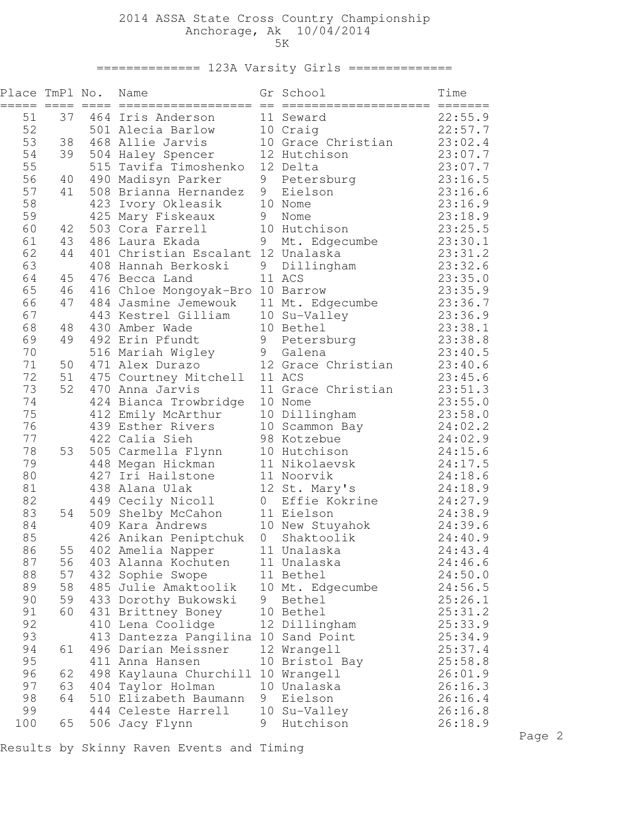## 2014 ASSA State Cross Country Championship Anchorage, Ak 10/04/2014 5K

============== 123A Varsity Girls ==============

| Place TmPl No. |          |     | Name<br>==================                 |         | Gr School                  | Time<br>=======    |
|----------------|----------|-----|--------------------------------------------|---------|----------------------------|--------------------|
| 51             | 37       |     | 464 Iris Anderson                          |         | 11 Seward                  | 22:55.9            |
| 52             |          |     | 501 Alecia Barlow                          |         | 10 Craig                   | 22:57.7            |
| 53             | 38       |     | 468 Allie Jarvis                           |         | 10 Grace Christian         | 23:02.4            |
| 54             | 39       |     | 504 Haley Spencer                          |         | 12 Hutchison               | 23:07.7            |
| 55             |          | 515 | Tavifa Timoshenko                          |         | 12 Delta                   | 23:07.7            |
| 56             | 40       |     | 490 Madisyn Parker                         | 9       | Petersburg                 | 23:16.5            |
| 57             | 41       |     | 508 Brianna Hernandez                      | 9       | Eielson                    | 23:16.6            |
| 58             |          | 423 | Ivory Okleasik                             |         | 10 Nome                    | 23:16.9            |
| 59<br>60       |          |     | 425 Mary Fiskeaux<br>503 Cora Farrell      | 9       | Nome                       | 23:18.9<br>23:25.5 |
| 61             | 42<br>43 |     | 486 Laura Ekada                            | 9       | 10 Hutchison               | 23:30.1            |
| 62             | 44       |     | 401 Christian Escalant 12 Unalaska         |         | Mt. Edgecumbe              | 23:31.2            |
| 63             |          |     | 408 Hannah Berkoski                        | 9       | Dillingham                 | 23:32.6            |
| 64             | 45       |     | 476 Becca Land                             |         | 11 ACS                     | 23:35.0            |
| 65             | 46       |     | 416 Chloe Mongoyak-Bro 10 Barrow           |         |                            | 23:35.9            |
| 66             | 47       |     | 484 Jasmine Jemewouk                       |         | 11 Mt. Edgecumbe           | 23:36.7            |
| 67             |          |     | 443 Kestrel Gilliam                        |         | 10 Su-Valley               | 23:36.9            |
| 68             | 48       |     | 430 Amber Wade                             |         | 10 Bethel                  | 23:38.1            |
| 69             | 49       |     | 492 Erin Pfundt                            | 9       | Petersburg                 | 23:38.8            |
| 70             |          |     | 516 Mariah Wigley                          | 9       | Galena                     | 23:40.5            |
| 71             | 50       |     | 471 Alex Durazo                            |         | 12 Grace Christian         | 23:40.6            |
| 72             | 51       |     | 475 Courtney Mitchell                      |         | 11 ACS                     | 23:45.6            |
| 73             | 52       |     | 470 Anna Jarvis                            |         | 11 Grace Christian         | 23:51.3            |
| 74             |          |     | 424 Bianca Trowbridge                      |         | 10 Nome                    | 23:55.0            |
| 75             |          |     | 412 Emily McArthur                         |         | 10 Dillingham              | 23:58.0            |
| 76             |          |     | 439 Esther Rivers                          |         | 10 Scammon Bay             | 24:02.2            |
| 77             |          |     | 422 Calia Sieh                             |         | 98 Kotzebue                | 24:02.9            |
| 78             | 53       |     | 505 Carmella Flynn                         |         | 10 Hutchison               | 24:15.6            |
| 79             |          |     | 448 Megan Hickman                          |         | 11 Nikolaevsk              | 24:17.5            |
| 80             |          | 427 | Iri Hailstone                              |         | 11 Noorvik                 | 24:18.6            |
| 81             |          |     | 438 Alana Ulak                             |         | 12 St. Mary's              | 24:18.9            |
| 82             |          |     | 449 Cecily Nicoll                          | $\circ$ | Effie Kokrine              | 24:27.9            |
| 83             | 54       | 509 | Shelby McCahon                             |         | 11 Eielson                 | 24:38.9            |
| 84             |          |     | 409 Kara Andrews                           |         | 10 New Stuyahok            | 24:39.6            |
| 85             |          |     | 426 Anikan Peniptchuk                      | $\circ$ | Shaktoolik                 | 24:40.9            |
| 86             | 55       |     | 402 Amelia Napper                          |         | 11 Unalaska                | 24:43.4            |
| 87             | 56       |     | 403 Alanna Kochuten                        |         | 11 Unalaska                | 24:46.6            |
| 88             | 57       |     | 432 Sophie Swope<br>485 Julie Amaktoolik   |         | 11 Bethel                  | 24:50.0            |
| 89<br>90       | 58<br>59 |     |                                            | 9       | 10 Mt. Edgecumbe<br>Bethel | 24:56.5<br>25:26.1 |
| 91             | 60       |     | 433 Dorothy Bukowski<br>431 Brittney Boney |         | 10 Bethel                  | 25:31.2            |
| 92             |          |     | 410 Lena Coolidge                          |         | 12 Dillingham              | 25:33.9            |
| 93             |          |     | 413 Dantezza Pangilina                     |         | 10 Sand Point              | 25:34.9            |
| 94             | 61       |     | 496 Darian Meissner                        |         | 12 Wrangell                | 25:37.4            |
| 95             |          |     | 411 Anna Hansen                            |         | 10 Bristol Bay             | 25:58.8            |
| 96             | 62       |     | 498 Kaylauna Churchill                     |         | 10 Wrangell                | 26:01.9            |
| 97             | 63       |     | 404 Taylor Holman                          |         | 10 Unalaska                | 26:16.3            |
| 98             | 64       |     | 510 Elizabeth Baumann                      | 9       | Eielson                    | 26:16.4            |
| 99             |          |     | 444 Celeste Harrell                        |         | 10 Su-Valley               | 26:16.8            |
| 100            | 65       |     | 506 Jacy Flynn                             | 9       | Hutchison                  | 26:18.9            |

Results by Skinny Raven Events and Timing

Page 2